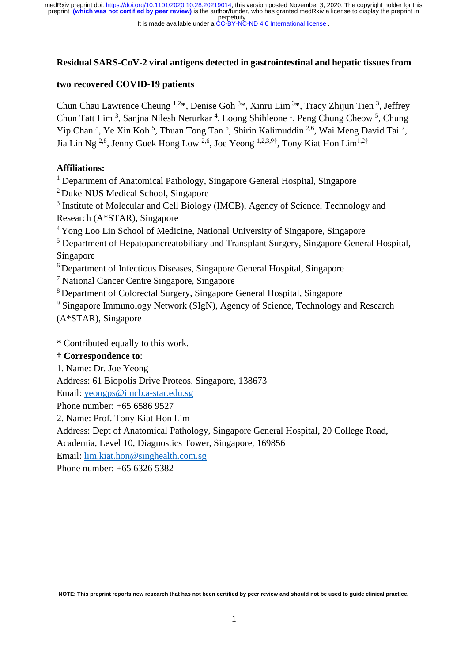perpetuity. preprint **(which was not certified by peer review)** is the author/funder, who has granted medRxiv a license to display the preprint in medRxiv preprint doi: [https://doi.org/10.1101/2020.10.28.20219014;](https://doi.org/10.1101/2020.10.28.20219014) this version posted November 3, 2020. The copyright holder for this

It is made available under a [CC-BY-NC-ND 4.0 International license](http://creativecommons.org/licenses/by-nc-nd/4.0/) .

# **Residual SARS-CoV-2 viral antigens detected in gastrointestinal and hepatic tissues from**

## **two recovered COVID-19 patients**

Chun Chau Lawrence Cheung <sup>1,2\*</sup>, Denise Goh<sup>3\*</sup>, Xinru Lim<sup>3\*</sup>, Tracy Zhijun Tien<sup>3</sup>, Jeffrey Chun Tatt Lim<sup>3</sup>, Sanjna Nilesh Nerurkar<sup>4</sup>, Loong Shihleone<sup>1</sup>, Peng Chung Cheow<sup>5</sup>, Chung Yip Chan<sup>5</sup>, Ye Xin Koh<sup>5</sup>, Thuan Tong Tan<sup>6</sup>, Shirin Kalimuddin<sup>2,6</sup>, Wai Meng David Tai<sup>7</sup>, Jia Lin Ng <sup>2,8</sup>, Jenny Guek Hong Low <sup>2,6</sup>, Joe Yeong <sup>1,2,3,9†</sup>, Tony Kiat Hon Lim<sup>1,2†</sup>

## **Affiliations:**

<sup>1</sup> Department of Anatomical Pathology, Singapore General Hospital, Singapore

<sup>2</sup> Duke-NUS Medical School, Singapore

<sup>3</sup> Institute of Molecular and Cell Biology (IMCB), Agency of Science, Technology and Research (A\*STAR), Singapore

<sup>4</sup>Yong Loo Lin School of Medicine, National University of Singapore, Singapore

<sup>5</sup> Department of Hepatopancreatobiliary and Transplant Surgery, Singapore General Hospital, Singapore

<sup>6</sup> Department of Infectious Diseases, Singapore General Hospital, Singapore

<sup>7</sup> National Cancer Centre Singapore, Singapore

<sup>8</sup>Department of Colorectal Surgery, Singapore General Hospital, Singapore

<sup>9</sup> Singapore Immunology Network (SIgN), Agency of Science, Technology and Research (A\*STAR), Singapore

\* Contributed equally to this work.

# † **Correspondence to**:

1. Name: Dr. Joe Yeong

Address: 61 Biopolis Drive Proteos, Singapore, 138673

Email: [yeongps@imcb.a-star.edu.sg](mailto:yeongps@imcb.a-star.edu.sg)

Phone number: +65 6586 9527

2. Name: Prof. Tony Kiat Hon Lim

Address: Dept of Anatomical Pathology, Singapore General Hospital, 20 College Road,

Academia, Level 10, Diagnostics Tower, Singapore, 169856

Email: [lim.kiat.hon@singhealth.com.sg](mailto:lim.kiat.hon@singhealth.com.sg)

Phone number: +65 6326 5382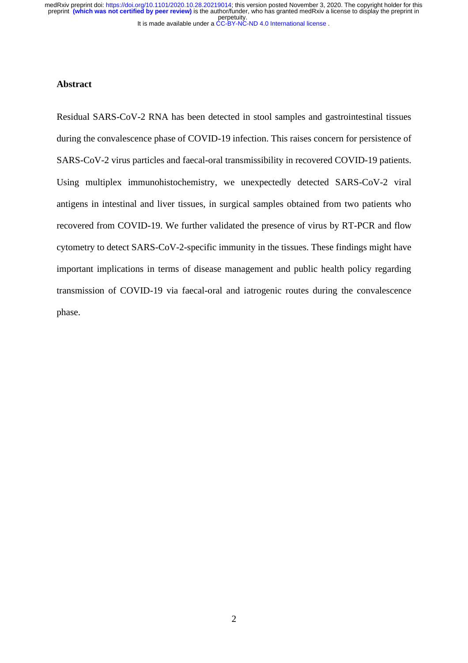It is made available under a [CC-BY-NC-ND 4.0 International license](http://creativecommons.org/licenses/by-nc-nd/4.0/) . perpetuity. medRxiv preprint doi: [https://doi.org/10.1101/2020.10.28.20219014;](https://doi.org/10.1101/2020.10.28.20219014) this version posted November 3, 2020. The copyright holder for this<br>preprint (which was not certified by peer review) is the author/funder, who has grante

# **Abstract**

Residual SARS-CoV-2 RNA has been detected in stool samples and gastrointestinal tissues during the convalescence phase of COVID-19 infection. This raises concern for persistence of SARS-CoV-2 virus particles and faecal-oral transmissibility in recovered COVID-19 patients. Using multiplex immunohistochemistry, we unexpectedly detected SARS-CoV-2 viral antigens in intestinal and liver tissues, in surgical samples obtained from two patients who recovered from COVID-19. We further validated the presence of virus by RT-PCR and flow cytometry to detect SARS-CoV-2-specific immunity in the tissues. These findings might have important implications in terms of disease management and public health policy regarding transmission of COVID-19 via faecal-oral and iatrogenic routes during the convalescence phase.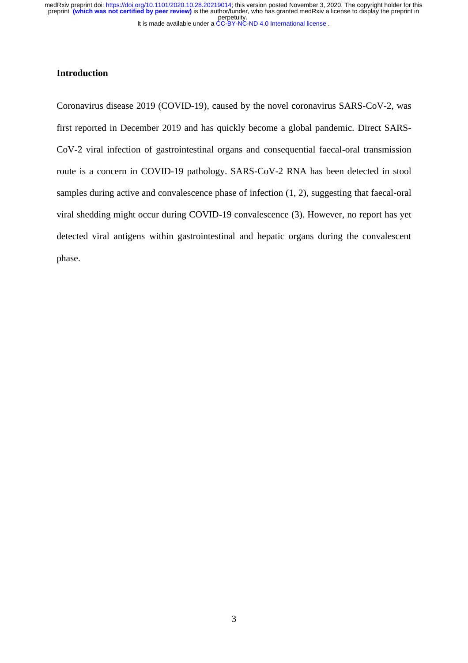It is made available under a [CC-BY-NC-ND 4.0 International license](http://creativecommons.org/licenses/by-nc-nd/4.0/) . perpetuity. medRxiv preprint doi: [https://doi.org/10.1101/2020.10.28.20219014;](https://doi.org/10.1101/2020.10.28.20219014) this version posted November 3, 2020. The copyright holder for this<br>preprint (which was not certified by peer review) is the author/funder, who has grante

# **Introduction**

Coronavirus disease 2019 (COVID-19), caused by the novel coronavirus SARS-CoV-2, was first reported in December 2019 and has quickly become a global pandemic. Direct SARS-CoV-2 viral infection of gastrointestinal organs and consequential faecal-oral transmission route is a concern in COVID-19 pathology. SARS-CoV-2 RNA has been detected in stool samples during active and convalescence phase of infection (1, 2), suggesting that faecal-oral viral shedding might occur during COVID-19 convalescence (3). However, no report has yet detected viral antigens within gastrointestinal and hepatic organs during the convalescent phase.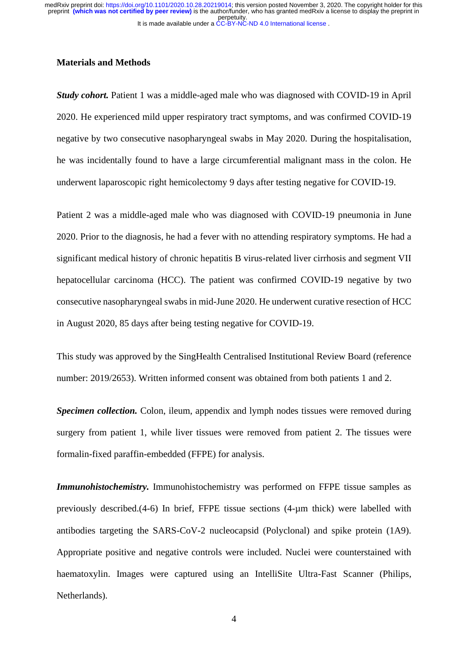#### **Materials and Methods**

*Study cohort.* Patient 1 was a middle-aged male who was diagnosed with COVID-19 in April 2020. He experienced mild upper respiratory tract symptoms, and was confirmed COVID-19 negative by two consecutive nasopharyngeal swabs in May 2020. During the hospitalisation, he was incidentally found to have a large circumferential malignant mass in the colon. He underwent laparoscopic right hemicolectomy 9 days after testing negative for COVID-19.

Patient 2 was a middle-aged male who was diagnosed with COVID-19 pneumonia in June 2020. Prior to the diagnosis, he had a fever with no attending respiratory symptoms. He had a significant medical history of chronic hepatitis B virus-related liver cirrhosis and segment VII hepatocellular carcinoma (HCC). The patient was confirmed COVID-19 negative by two consecutive nasopharyngeal swabs in mid-June 2020. He underwent curative resection of HCC in August 2020, 85 days after being testing negative for COVID-19.

This study was approved by the SingHealth Centralised Institutional Review Board (reference number: 2019/2653). Written informed consent was obtained from both patients 1 and 2.

*Specimen collection.* Colon, ileum, appendix and lymph nodes tissues were removed during surgery from patient 1, while liver tissues were removed from patient 2. The tissues were formalin-fixed paraffin-embedded (FFPE) for analysis.

*Immunohistochemistry.* Immunohistochemistry was performed on FFPE tissue samples as previously described.(4-6) In brief, FFPE tissue sections (4-µm thick) were labelled with antibodies targeting the SARS-CoV-2 nucleocapsid (Polyclonal) and spike protein (1A9). Appropriate positive and negative controls were included. Nuclei were counterstained with haematoxylin. Images were captured using an IntelliSite Ultra-Fast Scanner (Philips, Netherlands).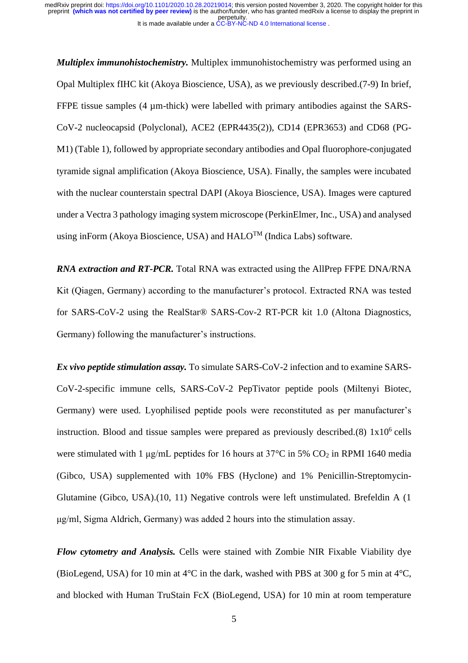*Multiplex immunohistochemistry.* Multiplex immunohistochemistry was performed using an Opal Multiplex fIHC kit (Akoya Bioscience, USA), as we previously described.(7-9) In brief, FFPE tissue samples (4 µm-thick) were labelled with primary antibodies against the SARS-CoV-2 nucleocapsid (Polyclonal), ACE2 (EPR4435(2)), CD14 (EPR3653) and CD68 (PG-M1) (Table 1), followed by appropriate secondary antibodies and Opal fluorophore-conjugated tyramide signal amplification (Akoya Bioscience, USA). Finally, the samples were incubated with the nuclear counterstain spectral DAPI (Akoya Bioscience, USA). Images were captured under a Vectra 3 pathology imaging system microscope (PerkinElmer, Inc., USA) and analysed using inForm (Akoya Bioscience, USA) and HALO<sup>TM</sup> (Indica Labs) software.

*RNA extraction and RT-PCR.* Total RNA was extracted using the AllPrep FFPE DNA/RNA Kit (Qiagen, Germany) according to the manufacturer's protocol. Extracted RNA was tested for SARS-CoV-2 using the RealStar® SARS-Cov-2 RT-PCR kit 1.0 (Altona Diagnostics, Germany) following the manufacturer's instructions.

*Ex vivo peptide stimulation assay.* To simulate SARS-CoV-2 infection and to examine SARS-CoV-2-specific immune cells, SARS-CoV-2 PepTivator peptide pools (Miltenyi Biotec, Germany) were used. Lyophilised peptide pools were reconstituted as per manufacturer's instruction. Blood and tissue samples were prepared as previously described.(8)  $1x10<sup>6</sup>$  cells were stimulated with 1  $\mu$ g/mL peptides for 16 hours at 37°C in 5% CO<sub>2</sub> in RPMI 1640 media (Gibco, USA) supplemented with 10% FBS (Hyclone) and 1% Penicillin-Streptomycin-Glutamine (Gibco, USA).(10, 11) Negative controls were left unstimulated. Brefeldin A (1 μg/ml, Sigma Aldrich, Germany) was added 2 hours into the stimulation assay.

*Flow cytometry and Analysis.* Cells were stained with Zombie NIR Fixable Viability dye (BioLegend, USA) for 10 min at 4°C in the dark, washed with PBS at 300 g for 5 min at 4°C, and blocked with Human TruStain FcX (BioLegend, USA) for 10 min at room temperature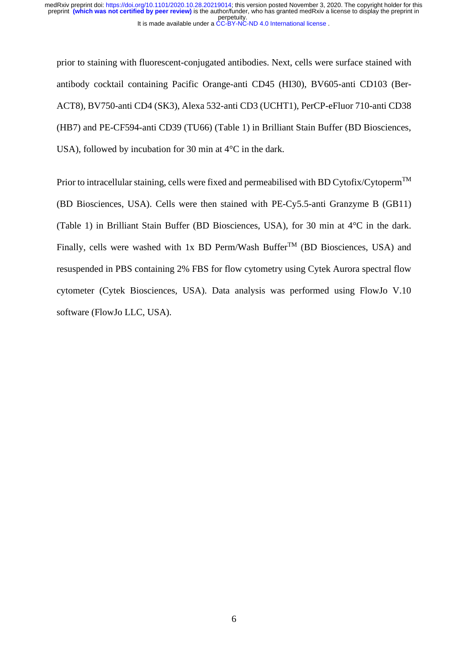prior to staining with fluorescent-conjugated antibodies. Next, cells were surface stained with antibody cocktail containing Pacific Orange-anti CD45 (HI30), BV605-anti CD103 (Ber-ACT8), BV750-anti CD4 (SK3), Alexa 532-anti CD3 (UCHT1), PerCP-eFluor 710-anti CD38 (HB7) and PE-CF594-anti CD39 (TU66) (Table 1) in Brilliant Stain Buffer (BD Biosciences, USA), followed by incubation for 30 min at 4°C in the dark.

Prior to intracellular staining, cells were fixed and permeabilised with BD Cytofix/Cytoperm<sup>TM</sup> (BD Biosciences, USA). Cells were then stained with PE-Cy5.5-anti Granzyme B (GB11) (Table 1) in Brilliant Stain Buffer (BD Biosciences, USA), for 30 min at 4°C in the dark. Finally, cells were washed with 1x BD Perm/Wash Buffer<sup>TM</sup> (BD Biosciences, USA) and resuspended in PBS containing 2% FBS for flow cytometry using Cytek Aurora spectral flow cytometer (Cytek Biosciences, USA). Data analysis was performed using FlowJo V.10 software (FlowJo LLC, USA).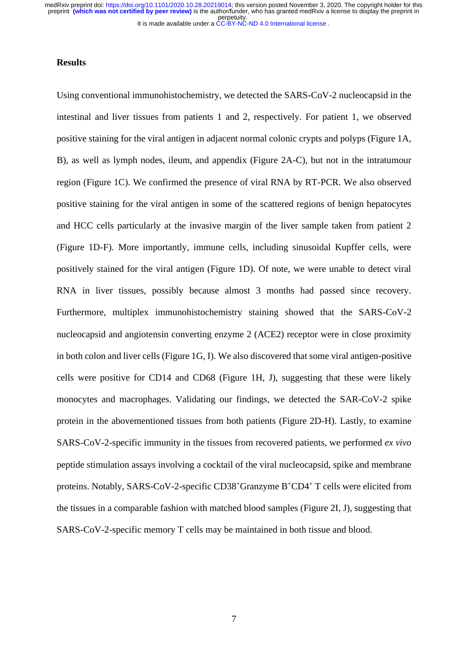#### **Results**

Using conventional immunohistochemistry, we detected the SARS-CoV-2 nucleocapsid in the intestinal and liver tissues from patients 1 and 2, respectively. For patient 1, we observed positive staining for the viral antigen in adjacent normal colonic crypts and polyps (Figure 1A, B), as well as lymph nodes, ileum, and appendix (Figure 2A-C), but not in the intratumour region (Figure 1C). We confirmed the presence of viral RNA by RT-PCR. We also observed positive staining for the viral antigen in some of the scattered regions of benign hepatocytes and HCC cells particularly at the invasive margin of the liver sample taken from patient 2 (Figure 1D-F). More importantly, immune cells, including sinusoidal Kupffer cells, were positively stained for the viral antigen (Figure 1D). Of note, we were unable to detect viral RNA in liver tissues, possibly because almost 3 months had passed since recovery. Furthermore, multiplex immunohistochemistry staining showed that the SARS-CoV-2 nucleocapsid and angiotensin converting enzyme 2 (ACE2) receptor were in close proximity in both colon and liver cells (Figure 1G, I). We also discovered that some viral antigen-positive cells were positive for CD14 and CD68 (Figure 1H, J), suggesting that these were likely monocytes and macrophages. Validating our findings, we detected the SAR-CoV-2 spike protein in the abovementioned tissues from both patients (Figure 2D-H). Lastly, to examine SARS-CoV-2-specific immunity in the tissues from recovered patients, we performed *ex vivo* peptide stimulation assays involving a cocktail of the viral nucleocapsid, spike and membrane proteins. Notably, SARS-CoV-2-specific CD38<sup>+</sup>Granzyme B<sup>+</sup>CD4<sup>+</sup> T cells were elicited from the tissues in a comparable fashion with matched blood samples (Figure 2I, J), suggesting that SARS-CoV-2-specific memory T cells may be maintained in both tissue and blood.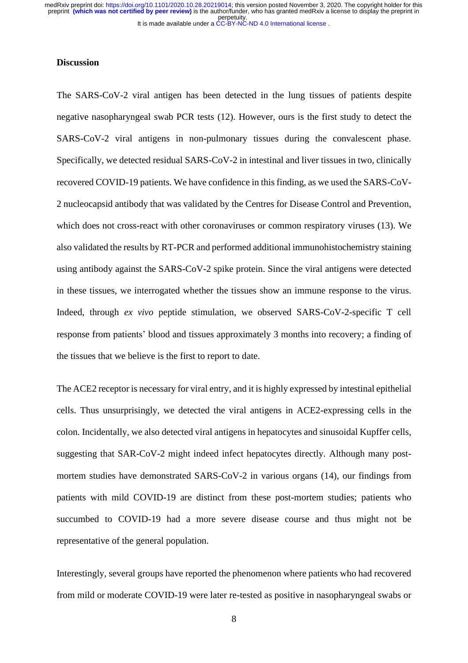#### **Discussion**

The SARS-CoV-2 viral antigen has been detected in the lung tissues of patients despite negative nasopharyngeal swab PCR tests (12). However, ours is the first study to detect the SARS-CoV-2 viral antigens in non-pulmonary tissues during the convalescent phase. Specifically, we detected residual SARS-CoV-2 in intestinal and liver tissues in two, clinically recovered COVID-19 patients. We have confidence in this finding, as we used the SARS-CoV-2 nucleocapsid antibody that was validated by the Centres for Disease Control and Prevention, which does not cross-react with other coronaviruses or common respiratory viruses (13). We also validated the results by RT-PCR and performed additional immunohistochemistry staining using antibody against the SARS-CoV-2 spike protein. Since the viral antigens were detected in these tissues, we interrogated whether the tissues show an immune response to the virus. Indeed, through *ex vivo* peptide stimulation, we observed SARS-CoV-2-specific T cell response from patients' blood and tissues approximately 3 months into recovery; a finding of the tissues that we believe is the first to report to date.

The ACE2 receptor is necessary for viral entry, and it is highly expressed by intestinal epithelial cells. Thus unsurprisingly, we detected the viral antigens in ACE2-expressing cells in the colon. Incidentally, we also detected viral antigens in hepatocytes and sinusoidal Kupffer cells, suggesting that SAR-CoV-2 might indeed infect hepatocytes directly. Although many postmortem studies have demonstrated SARS-CoV-2 in various organs (14), our findings from patients with mild COVID-19 are distinct from these post-mortem studies; patients who succumbed to COVID-19 had a more severe disease course and thus might not be representative of the general population.

Interestingly, several groups have reported the phenomenon where patients who had recovered from mild or moderate COVID-19 were later re-tested as positive in nasopharyngeal swabs or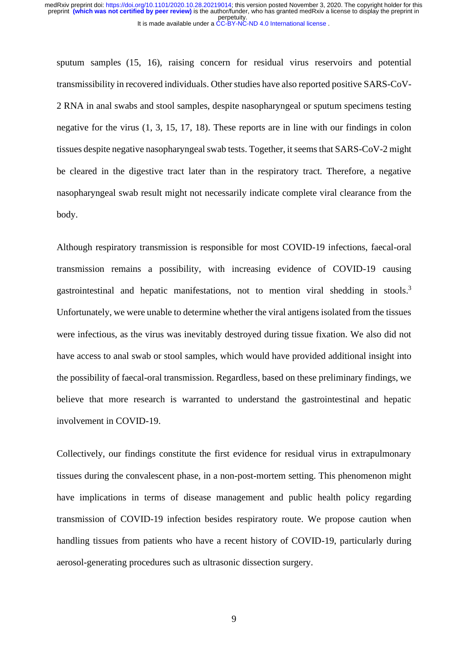sputum samples (15, 16), raising concern for residual virus reservoirs and potential transmissibility in recovered individuals. Other studies have also reported positive SARS-CoV-2 RNA in anal swabs and stool samples, despite nasopharyngeal or sputum specimens testing negative for the virus (1, 3, 15, 17, 18). These reports are in line with our findings in colon tissues despite negative nasopharyngeal swab tests. Together, it seems that SARS-CoV-2 might be cleared in the digestive tract later than in the respiratory tract. Therefore, a negative nasopharyngeal swab result might not necessarily indicate complete viral clearance from the body.

Although respiratory transmission is responsible for most COVID-19 infections, faecal-oral transmission remains a possibility, with increasing evidence of COVID-19 causing gastrointestinal and hepatic manifestations, not to mention viral shedding in stools.<sup>3</sup> Unfortunately, we were unable to determine whether the viral antigens isolated from the tissues were infectious, as the virus was inevitably destroyed during tissue fixation. We also did not have access to anal swab or stool samples, which would have provided additional insight into the possibility of faecal-oral transmission. Regardless, based on these preliminary findings, we believe that more research is warranted to understand the gastrointestinal and hepatic involvement in COVID-19.

Collectively, our findings constitute the first evidence for residual virus in extrapulmonary tissues during the convalescent phase, in a non-post-mortem setting. This phenomenon might have implications in terms of disease management and public health policy regarding transmission of COVID-19 infection besides respiratory route. We propose caution when handling tissues from patients who have a recent history of COVID-19, particularly during aerosol-generating procedures such as ultrasonic dissection surgery.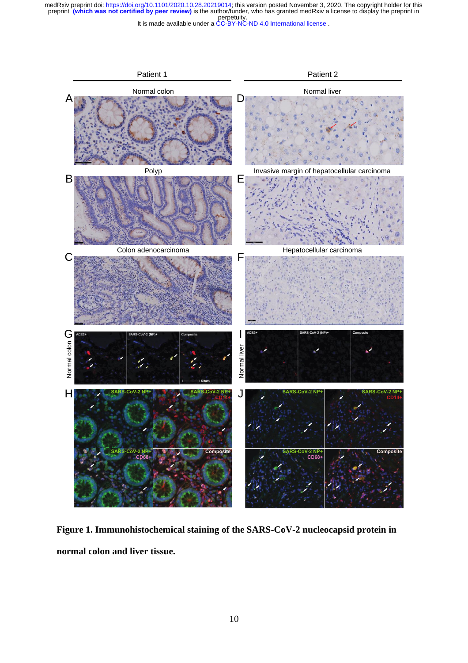perpetuity. medRxiv preprint doi: [https://doi.org/10.1101/2020.10.28.20219014;](https://doi.org/10.1101/2020.10.28.20219014) this version posted November 3, 2020. The copyright holder for this<br>preprint (which was not certified by peer review) is the author/funder, who has grante

It is made available under a [CC-BY-NC-ND 4.0 International license](http://creativecommons.org/licenses/by-nc-nd/4.0/) .



**Figure 1. Immunohistochemical staining of the SARS-CoV-2 nucleocapsid protein in normal colon and liver tissue.**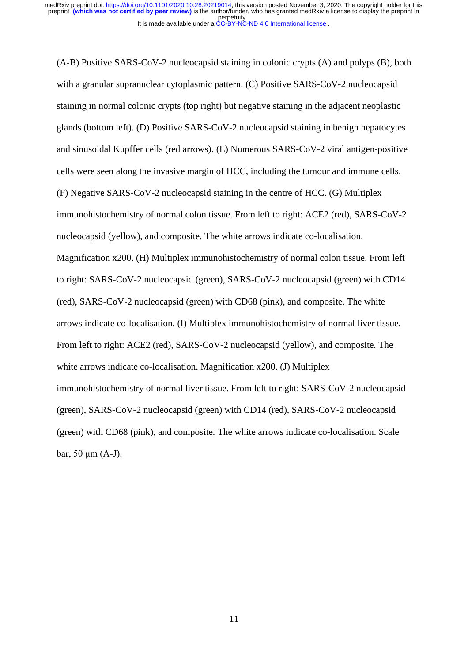(A-B) Positive SARS-CoV-2 nucleocapsid staining in colonic crypts (A) and polyps (B), both with a granular supranuclear cytoplasmic pattern. (C) Positive SARS-CoV-2 nucleocapsid staining in normal colonic crypts (top right) but negative staining in the adjacent neoplastic glands (bottom left). (D) Positive SARS-CoV-2 nucleocapsid staining in benign hepatocytes and sinusoidal Kupffer cells (red arrows). (E) Numerous SARS-CoV-2 viral antigen-positive cells were seen along the invasive margin of HCC, including the tumour and immune cells. (F) Negative SARS-CoV-2 nucleocapsid staining in the centre of HCC. (G) Multiplex immunohistochemistry of normal colon tissue. From left to right: ACE2 (red), SARS-CoV-2 nucleocapsid (yellow), and composite. The white arrows indicate co-localisation. Magnification x200. (H) Multiplex immunohistochemistry of normal colon tissue. From left to right: SARS-CoV-2 nucleocapsid (green), SARS-CoV-2 nucleocapsid (green) with CD14 (red), SARS-CoV-2 nucleocapsid (green) with CD68 (pink), and composite. The white arrows indicate co-localisation. (I) Multiplex immunohistochemistry of normal liver tissue. From left to right: ACE2 (red), SARS-CoV-2 nucleocapsid (yellow), and composite. The white arrows indicate co-localisation. Magnification x200. (J) Multiplex immunohistochemistry of normal liver tissue. From left to right: SARS-CoV-2 nucleocapsid (green), SARS-CoV-2 nucleocapsid (green) with CD14 (red), SARS-CoV-2 nucleocapsid (green) with CD68 (pink), and composite. The white arrows indicate co-localisation. Scale bar, 50 μm (A-J).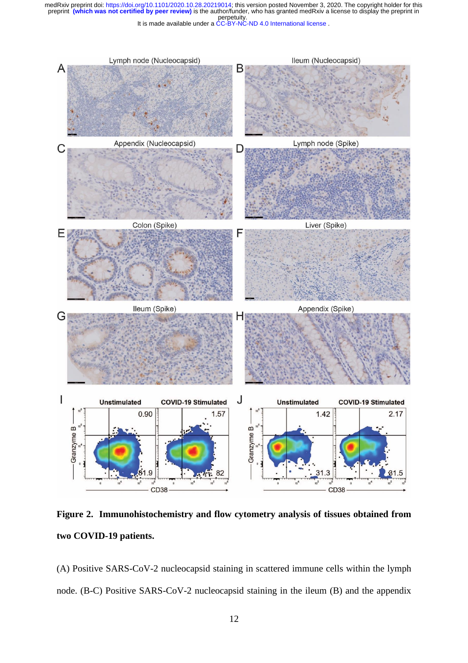perpetuity. medRxiv preprint doi: [https://doi.org/10.1101/2020.10.28.20219014;](https://doi.org/10.1101/2020.10.28.20219014) this version posted November 3, 2020. The copyright holder for this<br>preprint (which was not certified by peer review) is the author/funder, who has grante

It is made available under a [CC-BY-NC-ND 4.0 International license](http://creativecommons.org/licenses/by-nc-nd/4.0/) .



**Figure 2. Immunohistochemistry and flow cytometry analysis of tissues obtained from two COVID-19 patients.**

(A) Positive SARS-CoV-2 nucleocapsid staining in scattered immune cells within the lymph node. (B-C) Positive SARS-CoV-2 nucleocapsid staining in the ileum (B) and the appendix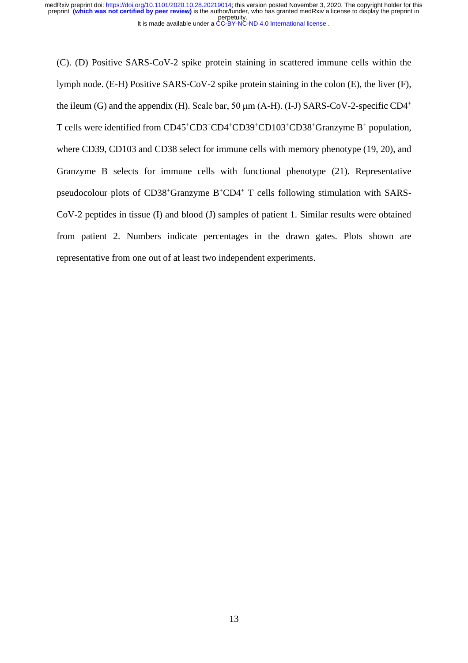It is made available under a [CC-BY-NC-ND 4.0 International license](http://creativecommons.org/licenses/by-nc-nd/4.0/) . perpetuity. medRxiv preprint doi: [https://doi.org/10.1101/2020.10.28.20219014;](https://doi.org/10.1101/2020.10.28.20219014) this version posted November 3, 2020. The copyright holder for this<br>preprint (which was not certified by peer review) is the author/funder, who has grante

(C). (D) Positive SARS-CoV-2 spike protein staining in scattered immune cells within the lymph node. (E-H) Positive SARS-CoV-2 spike protein staining in the colon (E), the liver (F), the ileum (G) and the appendix (H). Scale bar, 50  $\mu$ m (A-H). (I-J) SARS-CoV-2-specific CD4<sup>+</sup> T cells were identified from CD45<sup>+</sup>CD3<sup>+</sup>CD4<sup>+</sup>CD39<sup>+</sup>CD103<sup>+</sup>CD38<sup>+</sup>Granzyme B<sup>+</sup> population, where CD39, CD103 and CD38 select for immune cells with memory phenotype (19, 20), and Granzyme B selects for immune cells with functional phenotype (21). Representative pseudocolour plots of  $CD38^+$ Granzyme  $B^+CD4^+$  T cells following stimulation with SARS-CoV-2 peptides in tissue (I) and blood (J) samples of patient 1. Similar results were obtained from patient 2. Numbers indicate percentages in the drawn gates. Plots shown are representative from one out of at least two independent experiments.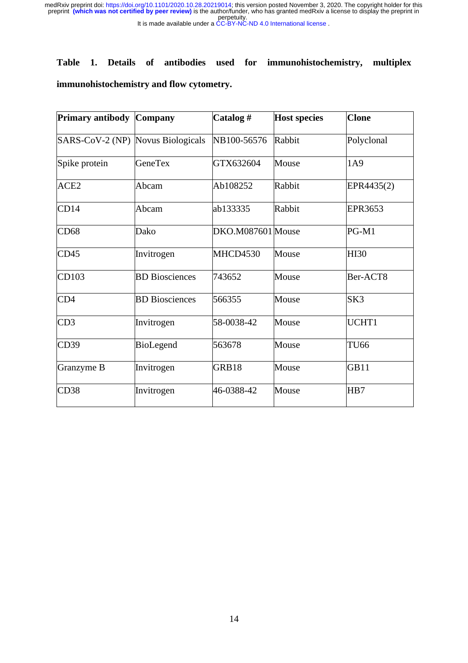perpetuity. medRxiv preprint doi: [https://doi.org/10.1101/2020.10.28.20219014;](https://doi.org/10.1101/2020.10.28.20219014) this version posted November 3, 2020. The copyright holder for this<br>preprint (which was not certified by peer review) is the author/funder, who has grante

It is made available under a [CC-BY-NC-ND 4.0 International license](http://creativecommons.org/licenses/by-nc-nd/4.0/) .

# **Table 1. Details of antibodies used for immunohistochemistry, multiplex immunohistochemistry and flow cytometry.**

| <b>Primary antibody</b>           | <b>Company</b>        | Catalog#          | <b>Host species</b> | <b>Clone</b> |
|-----------------------------------|-----------------------|-------------------|---------------------|--------------|
| SARS-CoV-2 (NP) Novus Biologicals |                       | NB100-56576       | Rabbit              | Polyclonal   |
| Spike protein                     | <b>GeneTex</b>        | GTX632604         | Mouse               | 1A9          |
| ACE <sub>2</sub>                  | Abcam                 | Ab108252          | Rabbit              | EPR4435(2)   |
| CD14                              | Abcam                 | ab133335          | Rabbit              | EPR3653      |
| CD68                              | Dako                  | DKO.M087601 Mouse |                     | PG-M1        |
| CD45                              | Invitrogen            | MHCD4530          | Mouse               | <b>HI30</b>  |
| CD103                             | <b>BD</b> Biosciences | 743652            | Mouse               | Ber-ACT8     |
| CD <sub>4</sub>                   | <b>BD</b> Biosciences | 566355            | Mouse               | SK3          |
| CD3                               | Invitrogen            | 58-0038-42        | Mouse               | UCHT1        |
| CD39                              | BioLegend             | 563678            | Mouse               | <b>TU66</b>  |
| Granzyme B                        | Invitrogen            | GRB18             | Mouse               | <b>GB11</b>  |
| CD38                              | Invitrogen            | 46-0388-42        | Mouse               | HB7          |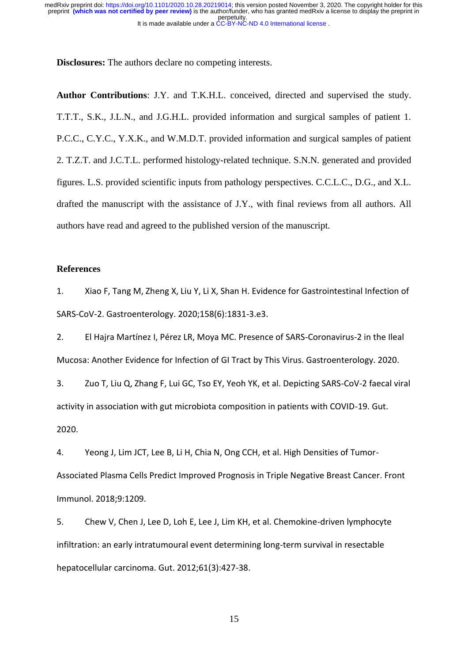**Disclosures:** The authors declare no competing interests.

**Author Contributions**: J.Y. and T.K.H.L. conceived, directed and supervised the study. T.T.T., S.K., J.L.N., and J.G.H.L. provided information and surgical samples of patient 1. P.C.C., C.Y.C., Y.X.K., and W.M.D.T. provided information and surgical samples of patient 2. T.Z.T. and J.C.T.L. performed histology-related technique. S.N.N. generated and provided figures. L.S. provided scientific inputs from pathology perspectives. C.C.L.C., D.G., and X.L. drafted the manuscript with the assistance of J.Y., with final reviews from all authors. All authors have read and agreed to the published version of the manuscript.

## **References**

1. Xiao F, Tang M, Zheng X, Liu Y, Li X, Shan H. Evidence for Gastrointestinal Infection of SARS-CoV-2. Gastroenterology. 2020;158(6):1831-3.e3.

2. El Hajra Martínez I, Pérez LR, Moya MC. Presence of SARS-Coronavirus-2 in the Ileal Mucosa: Another Evidence for Infection of GI Tract by This Virus. Gastroenterology. 2020.

3. Zuo T, Liu Q, Zhang F, Lui GC, Tso EY, Yeoh YK, et al. Depicting SARS-CoV-2 faecal viral activity in association with gut microbiota composition in patients with COVID-19. Gut. 2020.

4. Yeong J, Lim JCT, Lee B, Li H, Chia N, Ong CCH, et al. High Densities of Tumor-Associated Plasma Cells Predict Improved Prognosis in Triple Negative Breast Cancer. Front Immunol. 2018;9:1209.

5. Chew V, Chen J, Lee D, Loh E, Lee J, Lim KH, et al. Chemokine-driven lymphocyte infiltration: an early intratumoural event determining long-term survival in resectable hepatocellular carcinoma. Gut. 2012;61(3):427-38.

15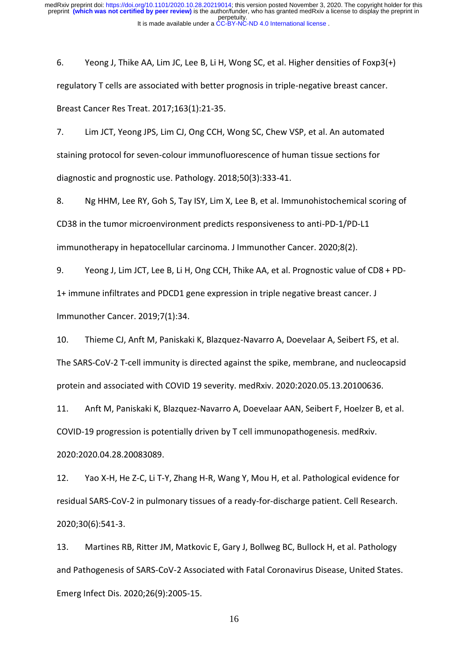6. Yeong J, Thike AA, Lim JC, Lee B, Li H, Wong SC, et al. Higher densities of Foxp3(+) regulatory T cells are associated with better prognosis in triple-negative breast cancer. Breast Cancer Res Treat. 2017;163(1):21-35.

7. Lim JCT, Yeong JPS, Lim CJ, Ong CCH, Wong SC, Chew VSP, et al. An automated staining protocol for seven-colour immunofluorescence of human tissue sections for diagnostic and prognostic use. Pathology. 2018;50(3):333-41.

8. Ng HHM, Lee RY, Goh S, Tay ISY, Lim X, Lee B, et al. Immunohistochemical scoring of CD38 in the tumor microenvironment predicts responsiveness to anti-PD-1/PD-L1 immunotherapy in hepatocellular carcinoma. J Immunother Cancer. 2020;8(2).

9. Yeong J, Lim JCT, Lee B, Li H, Ong CCH, Thike AA, et al. Prognostic value of CD8 + PD-1+ immune infiltrates and PDCD1 gene expression in triple negative breast cancer. J Immunother Cancer. 2019;7(1):34.

10. Thieme CJ, Anft M, Paniskaki K, Blazquez-Navarro A, Doevelaar A, Seibert FS, et al. The SARS-CoV-2 T-cell immunity is directed against the spike, membrane, and nucleocapsid protein and associated with COVID 19 severity. medRxiv. 2020:2020.05.13.20100636.

11. Anft M, Paniskaki K, Blazquez-Navarro A, Doevelaar AAN, Seibert F, Hoelzer B, et al. COVID-19 progression is potentially driven by T cell immunopathogenesis. medRxiv. 2020:2020.04.28.20083089.

12. Yao X-H, He Z-C, Li T-Y, Zhang H-R, Wang Y, Mou H, et al. Pathological evidence for residual SARS-CoV-2 in pulmonary tissues of a ready-for-discharge patient. Cell Research. 2020;30(6):541-3.

13. Martines RB, Ritter JM, Matkovic E, Gary J, Bollweg BC, Bullock H, et al. Pathology and Pathogenesis of SARS-CoV-2 Associated with Fatal Coronavirus Disease, United States. Emerg Infect Dis. 2020;26(9):2005-15.